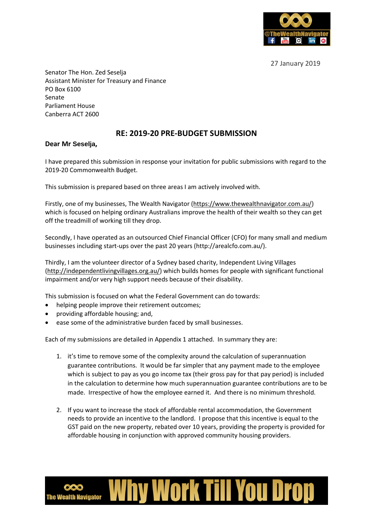

27 January 2019

Senator The Hon. Zed Seselja Assistant Minister for Treasury and Finance PO Box 6100 Senate Parliament House Canberra ACT 2600

## **RE: 2019-20 PRE-BUDGET SUBMISSION**

## **Dear Mr Seselja,**

I have prepared this submission in response your invitation for public submissions with regard to the 2019-20 Commonwealth Budget.

This submission is prepared based on three areas I am actively involved with.

Firstly, one of my businesses, The Wealth Navigator [\(https://www.thewealthnavigator.com.au/\)](https://www.thewealthnavigator.com.au/) which is focused on helping ordinary Australians improve the health of their wealth so they can get off the treadmill of working till they drop.

Secondly, I have operated as an outsourced Chief Financial Officer (CFO) for many small and medium businesses including start-ups over the past 20 years (http://arealcfo.com.au/).

Thirdly, I am the volunteer director of a Sydney based charity, Independent Living Villages [\(http://independentlivingvillages.org.au/\)](http://independentlivingvillages.org.au/) which builds homes for people with significant functional impairment and/or very high support needs because of their disability.

This submission is focused on what the Federal Government can do towards:

- helping people improve their retirement outcomes;
- providing affordable housing; and,
- ease some of the administrative burden faced by small businesses.

Each of my submissions are detailed in Appendix 1 attached. In summary they are:

- 1. it's time to remove some of the complexity around the calculation of superannuation guarantee contributions. It would be far simpler that any payment made to the employee which is subject to pay as you go income tax (their gross pay for that pay period) is included in the calculation to determine how much superannuation guarantee contributions are to be made. Irrespective of how the employee earned it. And there is no minimum threshold.
- 2. If you want to increase the stock of affordable rental accommodation, the Government needs to provide an incentive to the landlord. I propose that this incentive is equal to the GST paid on the new property, rebated over 10 years, providing the property is provided for affordable housing in conjunction with approved community housing providers.

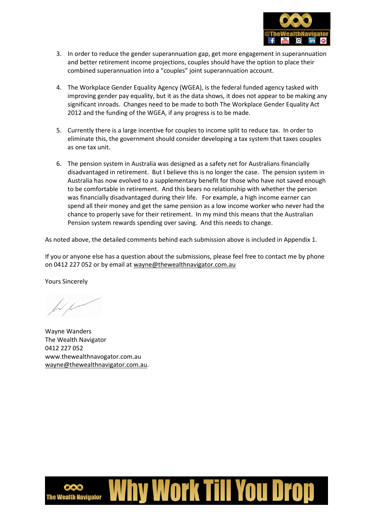

- 3. In order to reduce the gender superannuation gap, get more engagement in superannuation and better retirement income projections, couples should have the option to place their combined superannuation into a "couples" joint superannuation account.
- 4. The Workplace Gender Equality Agency (WGEA), is the federal funded agency tasked with improving gender pay equality, but it as the data shows, it does not appear to be making any significant inroads. Changes need to be made to both The Workplace Gender Equality Act 2012 and the funding of the WGEA, if any progress is to be made.
- 5. Currently there is a large incentive for couples to income split to reduce tax. In order to eliminate this, the government should consider developing a tax system that taxes couples as one tax unit.
- 6. The pension system in Australia was designed as a safety net for Australians financially disadvantaged in retirement. But I believe this is no longer the case. The pension system in Australia has now evolved to a supplementary benefit for those who have not saved enough to be comfortable in retirement. And this bears no relationship with whether the person was financially disadvantaged during their life. For example, a high income earner can spend all their money and get the same pension as a low income worker who never had the chance to properly save for their retirement. In my mind this means that the Australian Pension system rewards spending over saving. And this needs to change.

As noted above, the detailed comments behind each submission above is included in Appendix 1.

If you or anyone else has a question about the submissions, please feel free to contact me by phone on 0412 227 052 or by email at [wayne@thewealthnavigator.com.au](mailto:wayne@thewealthnavigator.com.au)

Yours Sincerely

Wayne Wanders The Wealth Navigator 0412 227 052 www.thewealthnavogator.com.au [wayne@thewealthnavigator.com.au.](mailto:wayne@thewealthnavigator.com.au)

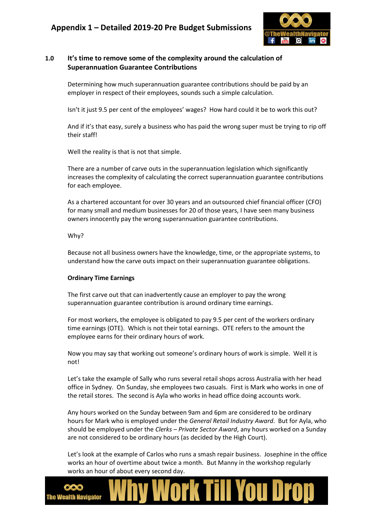

## **1.0 It's time to remove some of the complexity around the calculation of Superannuation Guarantee Contributions**

Determining how much superannuation guarantee contributions should be paid by an employer in respect of their employees, sounds such a simple calculation.

Isn't it just 9.5 per cent of the employees' wages? How hard could it be to work this out?

And if it's that easy, surely a business who has paid the wrong super must be trying to rip off their staff!

Well the reality is that is not that simple.

There are a number of carve outs in the superannuation legislation which significantly increases the complexity of calculating the correct superannuation guarantee contributions for each employee.

As a chartered accountant for over 30 years and an outsourced chief financial officer (CFO) for many small and medium businesses for 20 of those years, I have seen many business owners innocently pay the wrong superannuation guarantee contributions.

### Why?

Because not all business owners have the knowledge, time, or the appropriate systems, to understand how the carve outs impact on their superannuation guarantee obligations.

### **Ordinary Time Earnings**

The first carve out that can inadvertently cause an employer to pay the wrong superannuation guarantee contribution is around ordinary time earnings.

For most workers, the employee is obligated to pay 9.5 per cent of the workers ordinary time earnings (OTE). Which is not their total earnings. OTE refers to the amount the employee earns for their ordinary hours of work.

Now you may say that working out someone's ordinary hours of work is simple. Well it is not!

Let's take the example of Sally who runs several retail shops across Australia with her head office in Sydney. On Sunday, she employees two casuals. First is Mark who works in one of the retail stores. The second is Ayla who works in head office doing accounts work.

Any hours worked on the Sunday between 9am and 6pm are considered to be ordinary hours for Mark who is employed under the *General Retail Industry Award*. But for Ayla, who should be employed under the *Clerks – Private Sector Award*, any hours worked on a Sunday are not considered to be ordinary hours (as decided by the High Court).

Let's look at the example of Carlos who runs a smash repair business. Josephine in the office works an hour of overtime about twice a month. But Manny in the workshop regularly works an hour of about every second day.

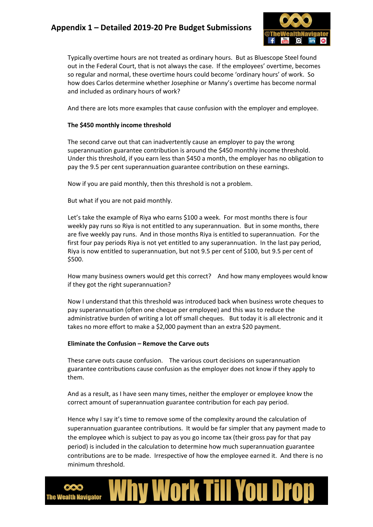

Typically overtime hours are not treated as ordinary hours. But as Bluescope Steel found out in the Federal Court, that is not always the case. If the employees' overtime, becomes so regular and normal, these overtime hours could become 'ordinary hours' of work. So how does Carlos determine whether Josephine or Manny's overtime has become normal and included as ordinary hours of work?

And there are lots more examples that cause confusion with the employer and employee.

### **The \$450 monthly income threshold**

The second carve out that can inadvertently cause an employer to pay the wrong superannuation guarantee contribution is around the \$450 monthly income threshold. Under this threshold, if you earn less than \$450 a month, the employer has no obligation to pay the 9.5 per cent superannuation guarantee contribution on these earnings.

Now if you are paid monthly, then this threshold is not a problem.

But what if you are not paid monthly.

Let's take the example of Riya who earns \$100 a week. For most months there is four weekly pay runs so Riya is not entitled to any superannuation. But in some months, there are five weekly pay runs. And in those months Riya is entitled to superannuation. For the first four pay periods Riya is not yet entitled to any superannuation. In the last pay period, Riya is now entitled to superannuation, but not 9.5 per cent of \$100, but 9.5 per cent of \$500.

How many business owners would get this correct? And how many employees would know if they got the right superannuation?

Now I understand that this threshold was introduced back when business wrote cheques to pay superannuation (often one cheque per employee) and this was to reduce the administrative burden of writing a lot off small cheques. But today it is all electronic and it takes no more effort to make a \$2,000 payment than an extra \$20 payment.

#### **Eliminate the Confusion – Remove the Carve outs**

These carve outs cause confusion. The various court decisions on superannuation guarantee contributions cause confusion as the employer does not know if they apply to them.

And as a result, as I have seen many times, neither the employer or employee know the correct amount of superannuation guarantee contribution for each pay period.

Hence why I say it's time to remove some of the complexity around the calculation of superannuation guarantee contributions. It would be far simpler that any payment made to the employee which is subject to pay as you go income tax (their gross pay for that pay period) is included in the calculation to determine how much superannuation guarantee contributions are to be made. Irrespective of how the employee earned it. And there is no minimum threshold.

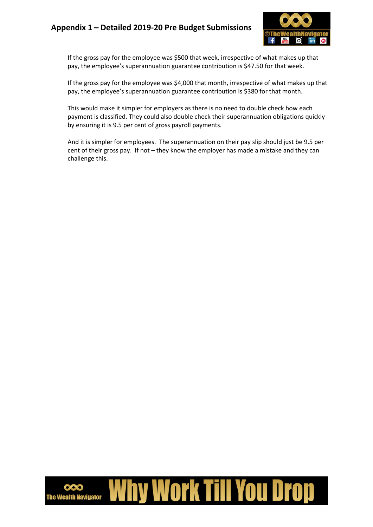

If the gross pay for the employee was \$500 that week, irrespective of what makes up that pay, the employee's superannuation guarantee contribution is \$47.50 for that week.

If the gross pay for the employee was \$4,000 that month, irrespective of what makes up that pay, the employee's superannuation guarantee contribution is \$380 for that month.

This would make it simpler for employers as there is no need to double check how each payment is classified. They could also double check their superannuation obligations quickly by ensuring it is 9.5 per cent of gross payroll payments.

And it is simpler for employees. The superannuation on their pay slip should just be 9.5 per cent of their gross pay. If not – they know the employer has made a mistake and they can challenge this.

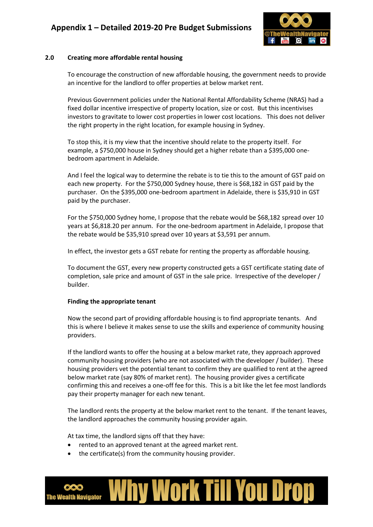

### **2.0 Creating more affordable rental housing**

To encourage the construction of new affordable housing, the government needs to provide an incentive for the landlord to offer properties at below market rent.

Previous Government policies under the National Rental Affordability Scheme (NRAS) had a fixed dollar incentive irrespective of property location, size or cost. But this incentivises investors to gravitate to lower cost properties in lower cost locations. This does not deliver the right property in the right location, for example housing in Sydney.

To stop this, it is my view that the incentive should relate to the property itself. For example, a \$750,000 house in Sydney should get a higher rebate than a \$395,000 onebedroom apartment in Adelaide.

And I feel the logical way to determine the rebate is to tie this to the amount of GST paid on each new property. For the \$750,000 Sydney house, there is \$68,182 in GST paid by the purchaser. On the \$395,000 one-bedroom apartment in Adelaide, there is \$35,910 in GST paid by the purchaser.

For the \$750,000 Sydney home, I propose that the rebate would be \$68,182 spread over 10 years at \$6,818.20 per annum. For the one-bedroom apartment in Adelaide, I propose that the rebate would be \$35,910 spread over 10 years at \$3,591 per annum.

In effect, the investor gets a GST rebate for renting the property as affordable housing.

To document the GST, every new property constructed gets a GST certificate stating date of completion, sale price and amount of GST in the sale price. Irrespective of the developer / builder.

#### **Finding the appropriate tenant**

Now the second part of providing affordable housing is to find appropriate tenants. And this is where I believe it makes sense to use the skills and experience of community housing providers.

If the landlord wants to offer the housing at a below market rate, they approach approved community housing providers (who are not associated with the developer / builder). These housing providers vet the potential tenant to confirm they are qualified to rent at the agreed below market rate (say 80% of market rent). The housing provider gives a certificate confirming this and receives a one-off fee for this. This is a bit like the let fee most landlords pay their property manager for each new tenant.

The landlord rents the property at the below market rent to the tenant. If the tenant leaves, the landlord approaches the community housing provider again.

At tax time, the landlord signs off that they have:

- rented to an approved tenant at the agreed market rent.
- the certificate(s) from the community housing provider.

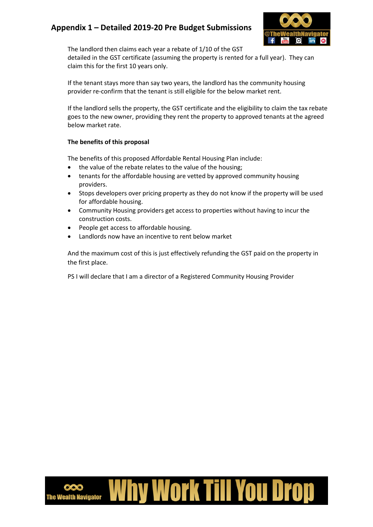

The landlord then claims each year a rebate of 1/10 of the GST

detailed in the GST certificate (assuming the property is rented for a full year). They can claim this for the first 10 years only.

If the tenant stays more than say two years, the landlord has the community housing provider re-confirm that the tenant is still eligible for the below market rent.

If the landlord sells the property, the GST certificate and the eligibility to claim the tax rebate goes to the new owner, providing they rent the property to approved tenants at the agreed below market rate.

### **The benefits of this proposal**

The benefits of this proposed Affordable Rental Housing Plan include:

- the value of the rebate relates to the value of the housing;
- tenants for the affordable housing are vetted by approved community housing providers.
- Stops developers over pricing property as they do not know if the property will be used for affordable housing.
- Community Housing providers get access to properties without having to incur the construction costs.
- People get access to affordable housing.
- Landlords now have an incentive to rent below market

And the maximum cost of this is just effectively refunding the GST paid on the property in the first place.

PS I will declare that I am a director of a Registered Community Housing Provider

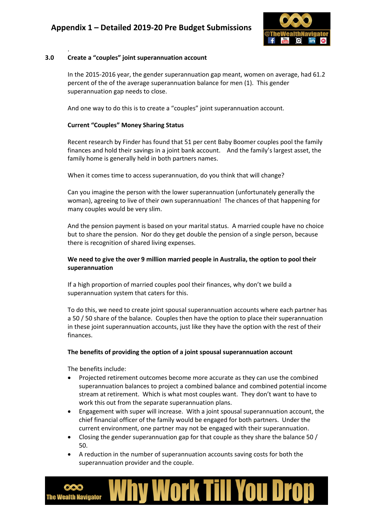

### **3.0 Create a "couples" joint superannuation account**

.

In the 2015-2016 year, the gender superannuation gap meant, women on average, had 61.2 percent of the of the average superannuation balance for men (1). This gender superannuation gap needs to close.

And one way to do this is to create a "couples" joint superannuation account.

### **Current "Couples" Money Sharing Status**

Recent research by Finder has found that 51 per cent Baby Boomer couples pool the family finances and hold their savings in a joint bank account. And the family's largest asset, the family home is generally held in both partners names.

When it comes time to access superannuation, do you think that will change?

Can you imagine the person with the lower superannuation (unfortunately generally the woman), agreeing to live of their own superannuation! The chances of that happening for many couples would be very slim.

And the pension payment is based on your marital status. A married couple have no choice but to share the pension. Nor do they get double the pension of a single person, because there is recognition of shared living expenses.

### **We need to give the over 9 million married people in Australia, the option to pool their superannuation**

If a high proportion of married couples pool their finances, why don't we build a superannuation system that caters for this.

To do this, we need to create joint spousal superannuation accounts where each partner has a 50 / 50 share of the balance. Couples then have the option to place their superannuation in these joint superannuation accounts, just like they have the option with the rest of their finances.

#### **The benefits of providing the option of a joint spousal superannuation account**

The benefits include:

- Projected retirement outcomes become more accurate as they can use the combined superannuation balances to project a combined balance and combined potential income stream at retirement. Which is what most couples want. They don't want to have to work this out from the separate superannuation plans.
- Engagement with super will increase. With a joint spousal superannuation account, the chief financial officer of the family would be engaged for both partners. Under the current environment, one partner may not be engaged with their superannuation.
- Closing the gender superannuation gap for that couple as they share the balance 50 / 50.
- A reduction in the number of superannuation accounts saving costs for both the superannuation provider and the couple.

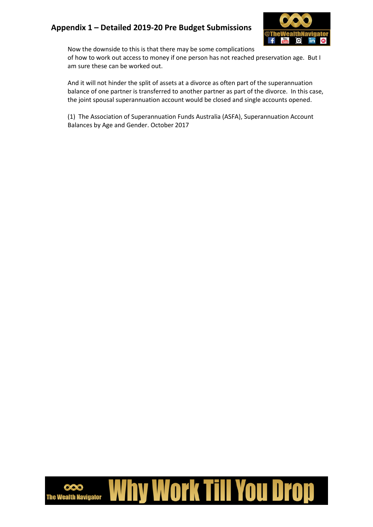

Now the downside to this is that there may be some complications

of how to work out access to money if one person has not reached preservation age. But I am sure these can be worked out.

And it will not hinder the split of assets at a divorce as often part of the superannuation balance of one partner is transferred to another partner as part of the divorce. In this case, the joint spousal superannuation account would be closed and single accounts opened.

(1) The Association of Superannuation Funds Australia (ASFA), Superannuation Account Balances by Age and Gender. October 2017

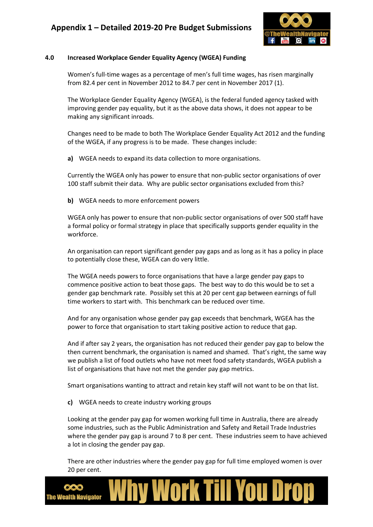

### **4.0 Increased Workplace Gender Equality Agency (WGEA) Funding**

Women's full-time wages as a percentage of men's full time wages, has risen marginally from 82.4 per cent in November 2012 to 84.7 per cent in November 2017 (1).

The Workplace Gender Equality Agency (WGEA), is the federal funded agency tasked with improving gender pay equality, but it as the above data shows, it does not appear to be making any significant inroads.

Changes need to be made to both The Workplace Gender Equality Act 2012 and the funding of the WGEA, if any progress is to be made. These changes include:

**a)** WGEA needs to expand its data collection to more organisations.

Currently the WGEA only has power to ensure that non-public sector organisations of over 100 staff submit their data. Why are public sector organisations excluded from this?

**b)** WGEA needs to more enforcement powers

WGEA only has power to ensure that non-public sector organisations of over 500 staff have a formal policy or formal strategy in place that specifically supports gender equality in the workforce.

An organisation can report significant gender pay gaps and as long as it has a policy in place to potentially close these, WGEA can do very little.

The WGEA needs powers to force organisations that have a large gender pay gaps to commence positive action to beat those gaps. The best way to do this would be to set a gender gap benchmark rate. Possibly set this at 20 per cent gap between earnings of full time workers to start with. This benchmark can be reduced over time.

And for any organisation whose gender pay gap exceeds that benchmark, WGEA has the power to force that organisation to start taking positive action to reduce that gap.

And if after say 2 years, the organisation has not reduced their gender pay gap to below the then current benchmark, the organisation is named and shamed. That's right, the same way we publish a list of food outlets who have not meet food safety standards, WGEA publish a list of organisations that have not met the gender pay gap metrics.

Smart organisations wanting to attract and retain key staff will not want to be on that list.

**c)** WGEA needs to create industry working groups

Looking at the gender pay gap for women working full time in Australia, there are already some industries, such as the Public Administration and Safety and Retail Trade Industries where the gender pay gap is around 7 to 8 per cent. These industries seem to have achieved a lot in closing the gender pay gap.

There are other industries where the gender pay gap for full time employed women is over 20 per cent.

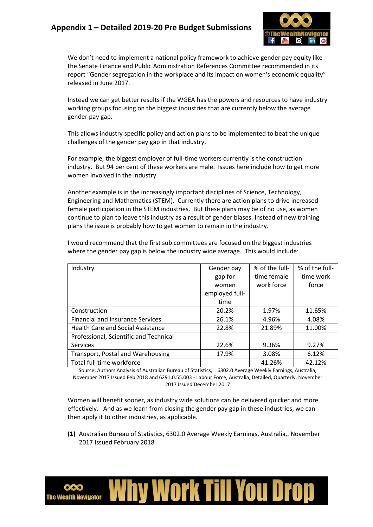

We don't need to implement a national policy framework to achieve gender pay equity like the Senate Finance and Public Administration References Committee recommended in its report "Gender segregation in the workplace and its impact on women's economic equality" released in June 2017.

Instead we can get better results if the WGEA has the powers and resources to have industry working groups focusing on the biggest industries that are currently below the average gender pay gap.

This allows industry specific policy and action plans to be implemented to beat the unique challenges of the gender pay gap in that industry.

For example, the biggest employer of full-time workers currently is the construction industry. But 94 per cent of these workers are male. Issues here include how to get more women involved in the industry.

Another example is in the increasingly important disciplines of Science, Technology, Engineering and Mathematics (STEM). Currently there are action plans to drive increased female participation in the STEM industries. But these plans may be of no use, as women continue to plan to leave this industry as a result of gender biases. Instead of new training plans the issue is probably how to get women to remain in the industry.

| Industry                                 | Gender pay     | % of the full- | % of the full- |
|------------------------------------------|----------------|----------------|----------------|
|                                          | gap for        | time female    | time work      |
|                                          | women          | work force     | force          |
|                                          | employed full- |                |                |
|                                          | time           |                |                |
| Construction                             | 20.2%          | 1.97%          | 11.65%         |
| <b>Financial and Insurance Services</b>  | 26.1%          | 4.96%          | 4.08%          |
| <b>Health Care and Social Assistance</b> | 22.8%          | 21.89%         | 11.00%         |
| Professional, Scientific and Technical   |                |                |                |
| Services                                 | 22.6%          | 9.36%          | 9.27%          |
| Transport, Postal and Warehousing        | 17.9%          | 3.08%          | 6.12%          |
| Total full time workforce                |                | 41.26%         | 42.12%         |

I would recommend that the first sub committees are focused on the biggest industries where the gender pay gap is below the industry wide average. This would include:

Source: Authors Analysis of Australian Bureau of Statistics, 6302.0 Average Weekly Earnings, Australia, November 2017 Issued Feb 2018 and 6291.0.55.003 - Labour Force, Australia, Detailed, Quarterly, November 2017 Issued December 2017

Women will benefit sooner, as industry wide solutions can be delivered quicker and more effectively. And as we learn from closing the gender pay gap in these industries, we can then apply it to other industries, as applicable.

**(1)** Australian Bureau of Statistics, 6302.0 Average Weekly Earnings, Australia,. November 2017 Issued February 2018

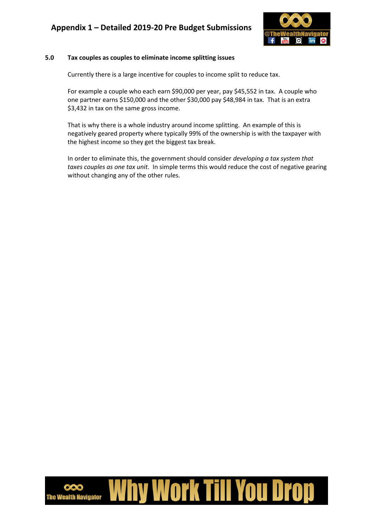

### **5.0 Tax couples as couples to eliminate income splitting issues**

Currently there is a large incentive for couples to income split to reduce tax.

For example a couple who each earn \$90,000 per year, pay \$45,552 in tax. A couple who one partner earns \$150,000 and the other \$30,000 pay \$48,984 in tax. That is an extra \$3,432 in tax on the same gross income.

That is why there is a whole industry around income splitting. An example of this is negatively geared property where typically 99% of the ownership is with the taxpayer with the highest income so they get the biggest tax break.

In order to eliminate this, the government should consider *developing a tax system that taxes couples as one tax unit*. In simple terms this would reduce the cost of negative gearing without changing any of the other rules.

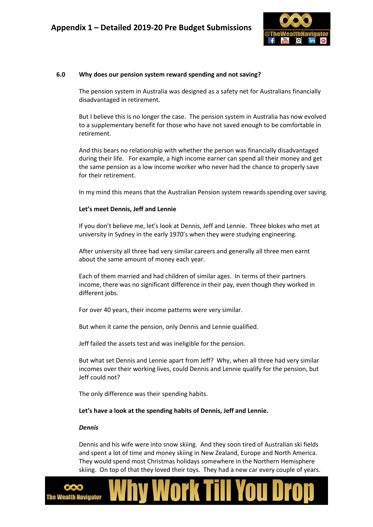

#### **6.0 Why does our pension system reward spending and not saving?**

The pension system in Australia was designed as a safety net for Australians financially disadvantaged in retirement.

But I believe this is no longer the case. The pension system in Australia has now evolved to a supplementary benefit for those who have not saved enough to be comfortable in retirement.

And this bears no relationship with whether the person was financially disadvantaged during their life. For example, a high income earner can spend all their money and get the same pension as a low income worker who never had the chance to properly save for their retirement.

In my mind this means that the Australian Pension system rewards spending over saving.

#### **Let's meet Dennis, Jeff and Lennie**

If you don't believe me, let's look at Dennis, Jeff and Lennie. Three blokes who met at university in Sydney in the early 1970's when they were studying engineering.

After university all three had very similar careers and generally all three men earnt about the same amount of money each year.

Each of them married and had children of similar ages. In terms of their partners income, there was no significant difference in their pay, even though they worked in different jobs.

For over 40 years, their income patterns were very similar.

But when it came the pension, only Dennis and Lennie qualified.

Jeff failed the assets test and was ineligible for the pension.

But what set Dennis and Lennie apart from Jeff? Why, when all three had very similar incomes over their working lives, could Dennis and Lennie qualify for the pension, but Jeff could not?

The only difference was their spending habits.

#### **Let's have a look at the spending habits of Dennis, Jeff and Lennie.**

#### *Dennis*

Dennis and his wife were into snow skiing. And they soon tired of Australian ski fields and spent a lot of time and money skiing in New Zealand, Europe and North America. They would spend most Christmas holidays somewhere in the Northern Hemisphere skiing. On top of that they loved their toys. They had a new car every couple of years.

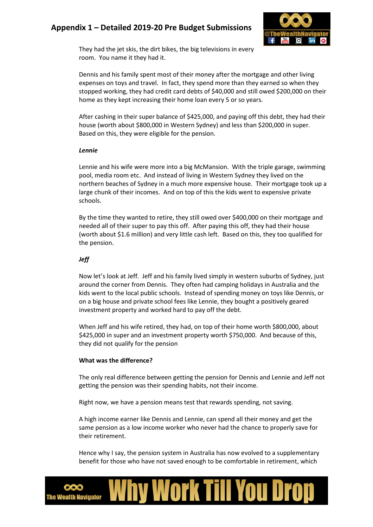

They had the jet skis, the dirt bikes, the big televisions in every room. You name it they had it.

Dennis and his family spent most of their money after the mortgage and other living expenses on toys and travel. In fact, they spend more than they earned so when they stopped working, they had credit card debts of \$40,000 and still owed \$200,000 on their home as they kept increasing their home loan every 5 or so years.

After cashing in their super balance of \$425,000, and paying off this debt, they had their house (worth about \$800,000 in Western Sydney) and less than \$200,000 in super. Based on this, they were eligible for the pension.

#### *Lennie*

Lennie and his wife were more into a big McMansion. With the triple garage, swimming pool, media room etc. And instead of living in Western Sydney they lived on the northern beaches of Sydney in a much more expensive house. Their mortgage took up a large chunk of their incomes. And on top of this the kids went to expensive private schools.

By the time they wanted to retire, they still owed over \$400,000 on their mortgage and needed all of their super to pay this off. After paying this off, they had their house (worth about \$1.6 million) and very little cash left. Based on this, they too qualified for the pension.

### *Jeff*

Now let's look at Jeff. Jeff and his family lived simply in western suburbs of Sydney, just around the corner from Dennis. They often had camping holidays in Australia and the kids went to the local public schools. Instead of spending money on toys like Dennis, or on a big house and private school fees like Lennie, they bought a positively geared investment property and worked hard to pay off the debt.

When Jeff and his wife retired, they had, on top of their home worth \$800,000, about \$425,000 in super and an investment property worth \$750,000. And because of this, they did not qualify for the pension

### **What was the difference?**

The only real difference between getting the pension for Dennis and Lennie and Jeff not getting the pension was their spending habits, not their income.

Right now, we have a pension means test that rewards spending, not saving.

A high income earner like Dennis and Lennie, can spend all their money and get the same pension as a low income worker who never had the chance to properly save for their retirement.

Hence why I say, the pension system in Australia has now evolved to a supplementary benefit for those who have not saved enough to be comfortable in retirement, which